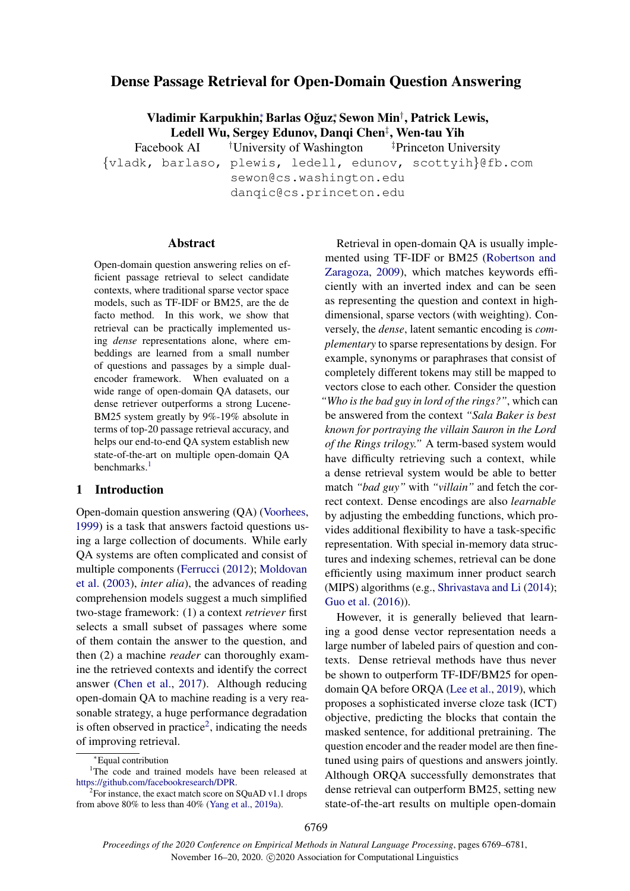# Dense Passage Retrieval for Open-Domain Question Answering

Vladimir Karpukhin; Barlas Oğuz; Sewon Min<sup>†</sup>, Patrick Lewis, Ledell Wu, Sergey Edunov, Danqi Chen‡ , Wen-tau Yih

Facebook AI <sup>†</sup>University of Washington <sup>‡</sup>Princeton University {vladk, barlaso, plewis, ledell, edunov, scottyih}@fb.com sewon@cs.washington.edu

danqic@cs.princeton.edu

### Abstract

Open-domain question answering relies on efficient passage retrieval to select candidate contexts, where traditional sparse vector space models, such as TF-IDF or BM25, are the de facto method. In this work, we show that retrieval can be practically implemented using *dense* representations alone, where embeddings are learned from a small number of questions and passages by a simple dualencoder framework. When evaluated on a wide range of open-domain QA datasets, our dense retriever outperforms a strong Lucene-BM25 system greatly by 9%-19% absolute in terms of top-20 passage retrieval accuracy, and helps our end-to-end QA system establish new state-of-the-art on multiple open-domain QA benchmarks.<sup>[1](#page-0-0)</sup>

### 1 Introduction

Open-domain question answering (QA) [\(Voorhees,](#page-10-0) [1999\)](#page-10-0) is a task that answers factoid questions using a large collection of documents. While early QA systems are often complicated and consist of multiple components [\(Ferrucci](#page-9-0) [\(2012\)](#page-9-0); [Moldovan](#page-10-1) [et al.](#page-10-1) [\(2003\)](#page-10-1), *inter alia*), the advances of reading comprehension models suggest a much simplified two-stage framework: (1) a context *retriever* first selects a small subset of passages where some of them contain the answer to the question, and then (2) a machine *reader* can thoroughly examine the retrieved contexts and identify the correct answer [\(Chen et al.,](#page-9-1) [2017\)](#page-9-1). Although reducing open-domain QA to machine reading is a very reasonable strategy, a huge performance degradation is often observed in practice<sup>[2](#page-0-1)</sup>, indicating the needs of improving retrieval.

Retrieval in open-domain QA is usually implemented using TF-IDF or BM25 [\(Robertson and](#page-10-3) [Zaragoza,](#page-10-3) [2009\)](#page-10-3), which matches keywords efficiently with an inverted index and can be seen as representing the question and context in highdimensional, sparse vectors (with weighting). Conversely, the *dense*, latent semantic encoding is *complementary* to sparse representations by design. For example, synonyms or paraphrases that consist of completely different tokens may still be mapped to vectors close to each other. Consider the question *"Who is the bad guy in lord of the rings?"*, which can be answered from the context *"Sala Baker is best known for portraying the villain Sauron in the Lord of the Rings trilogy."* A term-based system would have difficulty retrieving such a context, while a dense retrieval system would be able to better match *"bad guy"* with *"villain"* and fetch the correct context. Dense encodings are also *learnable* by adjusting the embedding functions, which provides additional flexibility to have a task-specific representation. With special in-memory data structures and indexing schemes, retrieval can be done efficiently using maximum inner product search (MIPS) algorithms (e.g., [Shrivastava and Li](#page-10-4) [\(2014\)](#page-10-4); [Guo et al.](#page-9-2) [\(2016\)](#page-9-2)).

However, it is generally believed that learning a good dense vector representation needs a large number of labeled pairs of question and contexts. Dense retrieval methods have thus never be shown to outperform TF-IDF/BM25 for opendomain QA before ORQA [\(Lee et al.,](#page-9-3) [2019\)](#page-9-3), which proposes a sophisticated inverse cloze task (ICT) objective, predicting the blocks that contain the masked sentence, for additional pretraining. The question encoder and the reader model are then finetuned using pairs of questions and answers jointly. Although ORQA successfully demonstrates that dense retrieval can outperform BM25, setting new state-of-the-art results on multiple open-domain

<span id="page-0-0"></span><sup>∗</sup>Equal contribution

<sup>&</sup>lt;sup>1</sup>The code and trained models have been released at [https://github.com/facebookresearch/DPR.](https://github.com/facebookresearch/DPR)

<span id="page-0-1"></span> ${}^{2}$ For instance, the exact match score on SQuAD v1.1 drops from above 80% to less than 40% [\(Yang et al.,](#page-10-2) [2019a\)](#page-10-2).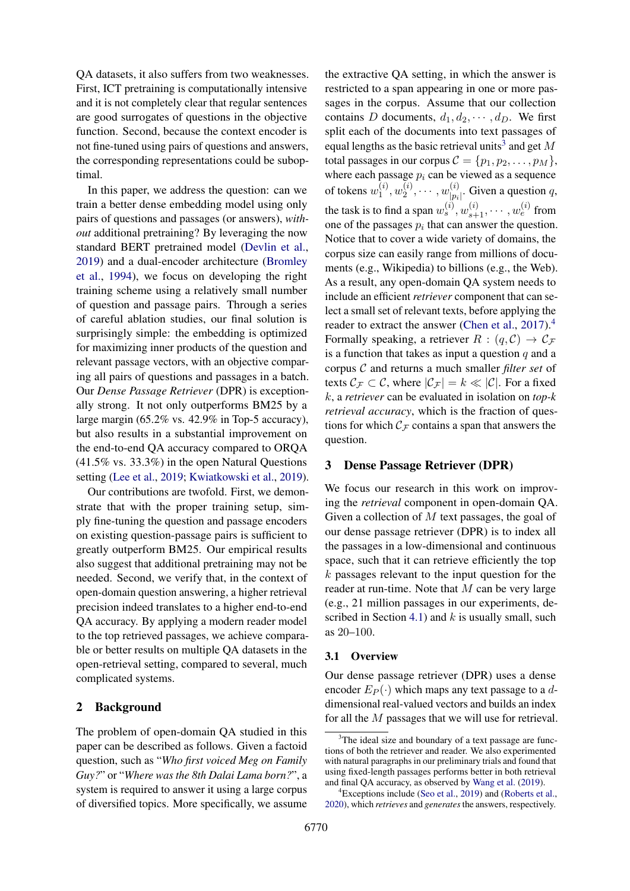QA datasets, it also suffers from two weaknesses. First, ICT pretraining is computationally intensive and it is not completely clear that regular sentences are good surrogates of questions in the objective function. Second, because the context encoder is not fine-tuned using pairs of questions and answers, the corresponding representations could be suboptimal.

In this paper, we address the question: can we train a better dense embedding model using only pairs of questions and passages (or answers), *without* additional pretraining? By leveraging the now standard BERT pretrained model [\(Devlin et al.,](#page-9-4) [2019\)](#page-9-4) and a dual-encoder architecture [\(Bromley](#page-9-5) [et al.,](#page-9-5) [1994\)](#page-9-5), we focus on developing the right training scheme using a relatively small number of question and passage pairs. Through a series of careful ablation studies, our final solution is surprisingly simple: the embedding is optimized for maximizing inner products of the question and relevant passage vectors, with an objective comparing all pairs of questions and passages in a batch. Our *Dense Passage Retriever* (DPR) is exceptionally strong. It not only outperforms BM25 by a large margin (65.2% vs. 42.9% in Top-5 accuracy), but also results in a substantial improvement on the end-to-end QA accuracy compared to ORQA (41.5% vs. 33.3%) in the open Natural Questions setting [\(Lee et al.,](#page-9-3) [2019;](#page-9-3) [Kwiatkowski et al.,](#page-9-6) [2019\)](#page-9-6).

Our contributions are twofold. First, we demonstrate that with the proper training setup, simply fine-tuning the question and passage encoders on existing question-passage pairs is sufficient to greatly outperform BM25. Our empirical results also suggest that additional pretraining may not be needed. Second, we verify that, in the context of open-domain question answering, a higher retrieval precision indeed translates to a higher end-to-end QA accuracy. By applying a modern reader model to the top retrieved passages, we achieve comparable or better results on multiple QA datasets in the open-retrieval setting, compared to several, much complicated systems.

# 2 Background

The problem of open-domain QA studied in this paper can be described as follows. Given a factoid question, such as "*Who first voiced Meg on Family Guy?*" or "*Where was the 8th Dalai Lama born?*", a system is required to answer it using a large corpus of diversified topics. More specifically, we assume

the extractive QA setting, in which the answer is restricted to a span appearing in one or more passages in the corpus. Assume that our collection contains D documents,  $d_1, d_2, \cdots, d_D$ . We first split each of the documents into text passages of equal lengths as the basic retrieval units<sup>[3](#page-1-0)</sup> and get M total passages in our corpus  $C = \{p_1, p_2, \ldots, p_M\},\$ where each passage  $p_i$  can be viewed as a sequence of tokens  $w_1^{(i)}$  $\mathbf{u}_1^{(i)},\mathbf{w}_2^{(i)}$  $w_2^{(i)}, \cdots, w_{|p_i}^{(i)}$  $|p_i|^{\nu}$ . Given a question q, the task is to find a span  $w_s^{(i)}$ ,  $w_{s+1}^{(i)}$ ,  $\cdots$ ,  $w_e^{(i)}$  from one of the passages  $p_i$  that can answer the question. Notice that to cover a wide variety of domains, the corpus size can easily range from millions of documents (e.g., Wikipedia) to billions (e.g., the Web). As a result, any open-domain QA system needs to include an efficient *retriever* component that can select a small set of relevant texts, before applying the reader to extract the answer [\(Chen et al.,](#page-9-1) [2017\)](#page-9-1).<sup>[4](#page-1-1)</sup> Formally speaking, a retriever  $R : (q, C) \rightarrow C_{\mathcal{F}}$ is a function that takes as input a question  $q$  and a corpus C and returns a much smaller *filter set* of texts  $\mathcal{C}_{\mathcal{F}} \subset \mathcal{C}$ , where  $|\mathcal{C}_{\mathcal{F}}| = k \ll |\mathcal{C}|$ . For a fixed k, a *retriever* can be evaluated in isolation on *top-k retrieval accuracy*, which is the fraction of questions for which  $C_F$  contains a span that answers the question.

### 3 Dense Passage Retriever (DPR)

We focus our research in this work on improving the *retrieval* component in open-domain QA. Given a collection of  $M$  text passages, the goal of our dense passage retriever (DPR) is to index all the passages in a low-dimensional and continuous space, such that it can retrieve efficiently the top  $k$  passages relevant to the input question for the reader at run-time. Note that  $M$  can be very large (e.g., 21 million passages in our experiments, de-scribed in Section [4.1\)](#page-3-0) and  $k$  is usually small, such as 20–100.

#### 3.1 Overview

Our dense passage retriever (DPR) uses a dense encoder  $E_P(\cdot)$  which maps any text passage to a ddimensional real-valued vectors and builds an index for all the M passages that we will use for retrieval.

<span id="page-1-0"></span><sup>&</sup>lt;sup>3</sup>The ideal size and boundary of a text passage are functions of both the retriever and reader. We also experimented with natural paragraphs in our preliminary trials and found that using fixed-length passages performs better in both retrieval and final QA accuracy, as observed by [Wang et al.](#page-10-5) [\(2019\)](#page-10-5).

<span id="page-1-1"></span> ${}^{4}$ Exceptions include [\(Seo et al.,](#page-10-6) [2019\)](#page-10-6) and [\(Roberts et al.,](#page-10-7) [2020\)](#page-10-7), which *retrieves* and *generates* the answers, respectively.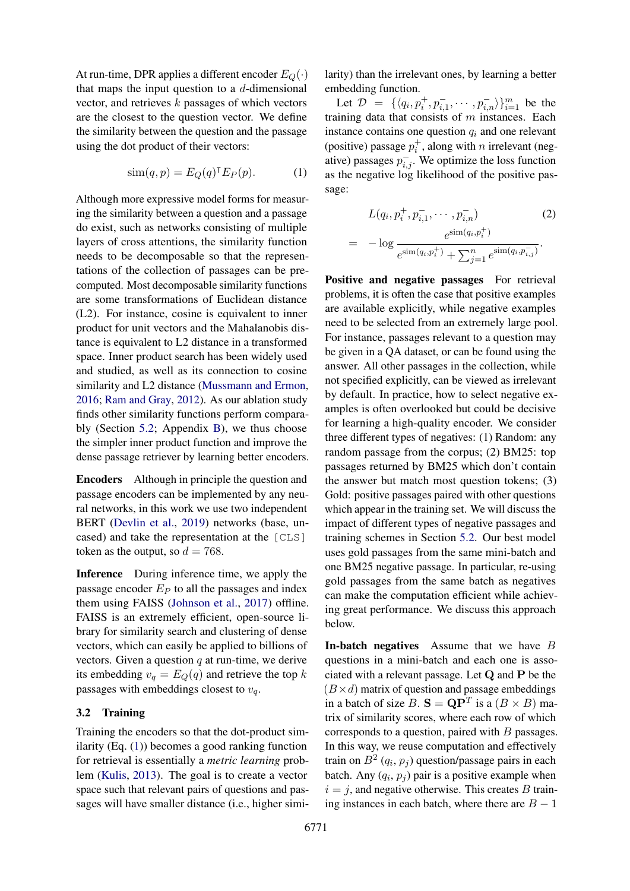At run-time, DPR applies a different encoder  $E_Q(\cdot)$ that maps the input question to a  $d$ -dimensional vector, and retrieves k passages of which vectors are the closest to the question vector. We define the similarity between the question and the passage using the dot product of their vectors:

$$
\text{sim}(q, p) = E_Q(q)^\mathsf{T} E_P(p). \tag{1}
$$

Although more expressive model forms for measuring the similarity between a question and a passage do exist, such as networks consisting of multiple layers of cross attentions, the similarity function needs to be decomposable so that the representations of the collection of passages can be precomputed. Most decomposable similarity functions are some transformations of Euclidean distance (L2). For instance, cosine is equivalent to inner product for unit vectors and the Mahalanobis distance is equivalent to L2 distance in a transformed space. Inner product search has been widely used and studied, as well as its connection to cosine similarity and L2 distance [\(Mussmann and Ermon,](#page-10-8) [2016;](#page-10-8) [Ram and Gray,](#page-10-9) [2012\)](#page-10-9). As our ablation study finds other similarity functions perform comparably (Section [5.2;](#page-5-0) Appendix [B\)](#page-11-0), we thus choose the simpler inner product function and improve the dense passage retriever by learning better encoders.

Encoders Although in principle the question and passage encoders can be implemented by any neural networks, in this work we use two independent BERT [\(Devlin et al.,](#page-9-4) [2019\)](#page-9-4) networks (base, uncased) and take the representation at the [CLS] token as the output, so  $d = 768$ .

Inference During inference time, we apply the passage encoder  $E_P$  to all the passages and index them using FAISS [\(Johnson et al.,](#page-9-7) [2017\)](#page-9-7) offline. FAISS is an extremely efficient, open-source library for similarity search and clustering of dense vectors, which can easily be applied to billions of vectors. Given a question  $q$  at run-time, we derive its embedding  $v_q = E_Q(q)$  and retrieve the top k passages with embeddings closest to  $v_q$ .

### <span id="page-2-1"></span>3.2 Training

Training the encoders so that the dot-product similarity (Eq. [\(1\)](#page-2-0)) becomes a good ranking function for retrieval is essentially a *metric learning* problem [\(Kulis,](#page-9-8) [2013\)](#page-9-8). The goal is to create a vector space such that relevant pairs of questions and passages will have smaller distance (i.e., higher similarity) than the irrelevant ones, by learning a better embedding function.

<span id="page-2-0"></span>Let  $\mathcal{D} = \{\langle q_i, p_i^+, p_{i,1}^-, \cdots, p_{i,n}^-\rangle\}_{i=1}^m$  be the training data that consists of  $m$  instances. Each instance contains one question  $q_i$  and one relevant (positive) passage  $p_i^+$ , along with *n* irrelevant (negative) passages  $p_{i,j}^-$ . We optimize the loss function as the negative log likelihood of the positive passage:

<span id="page-2-2"></span>
$$
L(q_i, p_i^+, p_{i,1}^-, \cdots, p_{i,n}^-)
$$
\n
$$
= -\log \frac{e^{\sin(q_i, p_i^+)} - e^{\sin(q_i, p_{i,n}^-)} - e^{\sin(q_i, p_{i,n}^-)} - e^{\sin(q_i, p_{i,n}^-)} - e^{\sin(q_i, p_{i,n}^-)} - e^{\sin(q_i, p_{i,n}^-)} - e^{\sin(q_i, p_{i,n}^-)} - e^{\sin(q_i, p_{i,n}^-)} - e^{\sin(q_i, p_{i,n}^-)} - e^{\sin(q_i, p_{i,n}^-)} - e^{\sin(q_i, p_{i,n}^-)} - e^{\sin(q_i, p_{i,n}^-)} - e^{\sin(q_i, p_{i,n}^-)} - e^{\sin(q_i, p_{i,n}^-)} - e^{\sin(q_i, p_{i,n}^-)} - e^{\sin(q_i, p_{i,n}^-)} - e^{\sin(q_i, p_{i,n}^-)} - e^{\sin(q_i, p_{i,n}^-)} - e^{\sin(q_i, p_{i,n}^-)} - e^{\sin(q_i, p_{i,n}^-)} - e^{\sin(q_i, p_{i,n}^-)} - e^{\sin(q_i, p_{i,n}^-)} - e^{\sin(q_i, p_{i,n}^-)} - e^{\cos(q_i, p_{i,n}^-)} - e^{\cos(q_i, p_{i,n}^-)} - e^{\cos(q_i, p_{i,n}^-)} - e^{\cos(q_i, p_{i,n}^-)} - e^{\cos(q_i, p_{i,n}^-)} - e^{\cos(q_i, p_{i,n}^-)} - e^{\cos(q_i, p_{i,n}^-)} - e^{\cos(q_i, p_{i,n}^-)} - e^{\cos(q_i, p_{i,n}^-)} - e^{\cos(q_i, p_{i,n}^-)} - e^{\cos(q_i, p_{i,n}^-)} - e^{\cos(q_i, p_{i,n}^-)} - e^{\cos(q_i, p_{i,n}^-)} - e^{\cos(q_i, p_{i,n}^-)} - e^{\cos(q_i, p_{i,n}^-)} - e^{\cos(q_i, p_{i,n}^-)} - e^{\cos(q_i, p_{i,n}^-)} - e^{\cos(q_i, p_{i,n}^-)} - e^{\cos(q_i, p_{i,n}^-)} - e^{\cos(q_i, p_{i,n}^-)} - e^{\cos(q_i, p_{i,n}^-)} - e^{\cos(q_i, p_{i,n}^-)} - e^{\cos(q_i, p_{i,n}^-)} - e^{\cos(q_i, p_{i,n}^-)} - e^{\cos(q_i, p_{i,n}^-
$$

Positive and negative passages For retrieval problems, it is often the case that positive examples are available explicitly, while negative examples need to be selected from an extremely large pool. For instance, passages relevant to a question may be given in a QA dataset, or can be found using the answer. All other passages in the collection, while not specified explicitly, can be viewed as irrelevant by default. In practice, how to select negative examples is often overlooked but could be decisive for learning a high-quality encoder. We consider three different types of negatives: (1) Random: any random passage from the corpus; (2) BM25: top passages returned by BM25 which don't contain the answer but match most question tokens; (3) Gold: positive passages paired with other questions which appear in the training set. We will discuss the impact of different types of negative passages and training schemes in Section [5.2.](#page-5-1) Our best model uses gold passages from the same mini-batch and one BM25 negative passage. In particular, re-using gold passages from the same batch as negatives can make the computation efficient while achieving great performance. We discuss this approach below.

In-batch negatives Assume that we have B questions in a mini-batch and each one is associated with a relevant passage. Let Q and P be the  $(B \times d)$  matrix of question and passage embeddings in a batch of size B.  $S = QP^{T}$  is a  $(B \times B)$  matrix of similarity scores, where each row of which corresponds to a question, paired with  $B$  passages. In this way, we reuse computation and effectively train on  $B^2(q_i, p_j)$  question/passage pairs in each batch. Any  $(q_i, p_j)$  pair is a positive example when  $i = j$ , and negative otherwise. This creates B training instances in each batch, where there are  $B - 1$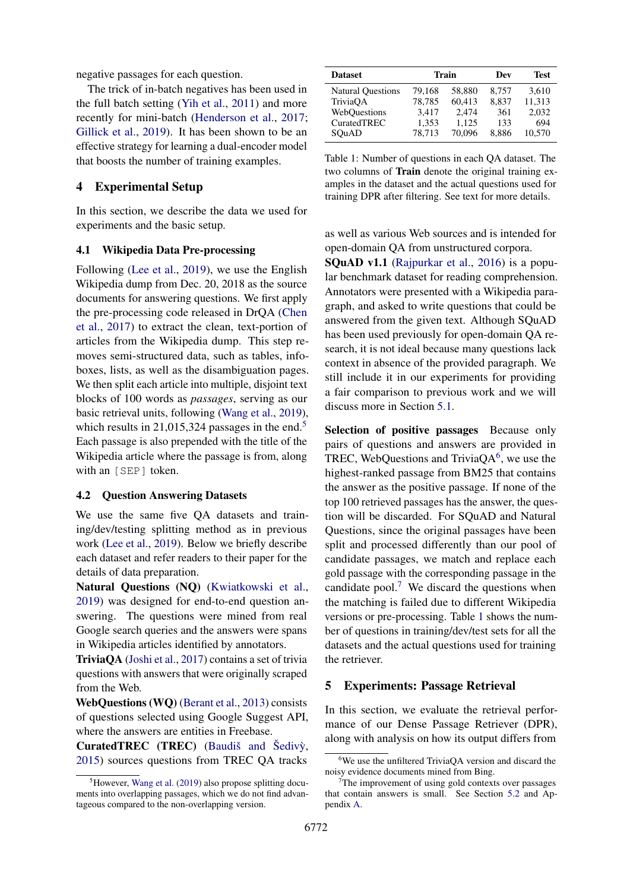negative passages for each question.

The trick of in-batch negatives has been used in the full batch setting [\(Yih et al.,](#page-10-10) [2011\)](#page-10-10) and more recently for mini-batch [\(Henderson et al.,](#page-9-9) [2017;](#page-9-9) [Gillick et al.,](#page-9-10) [2019\)](#page-9-10). It has been shown to be an effective strategy for learning a dual-encoder model that boosts the number of training examples.

### 4 Experimental Setup

In this section, we describe the data we used for experiments and the basic setup.

#### <span id="page-3-0"></span>4.1 Wikipedia Data Pre-processing

Following [\(Lee et al.,](#page-9-3) [2019\)](#page-9-3), we use the English Wikipedia dump from Dec. 20, 2018 as the source documents for answering questions. We first apply the pre-processing code released in DrQA [\(Chen](#page-9-1) [et al.,](#page-9-1) [2017\)](#page-9-1) to extract the clean, text-portion of articles from the Wikipedia dump. This step removes semi-structured data, such as tables, infoboxes, lists, as well as the disambiguation pages. We then split each article into multiple, disjoint text blocks of 100 words as *passages*, serving as our basic retrieval units, following [\(Wang et al.,](#page-10-5) [2019\)](#page-10-5), which results in 21,01[5](#page-3-1),324 passages in the end. $5$ Each passage is also prepended with the title of the Wikipedia article where the passage is from, along with an [SEP] token.

#### <span id="page-3-5"></span>4.2 Question Answering Datasets

We use the same five QA datasets and training/dev/testing splitting method as in previous work [\(Lee et al.,](#page-9-3) [2019\)](#page-9-3). Below we briefly describe each dataset and refer readers to their paper for the details of data preparation.

Natural Questions (NQ) [\(Kwiatkowski et al.,](#page-9-6) [2019\)](#page-9-6) was designed for end-to-end question answering. The questions were mined from real Google search queries and the answers were spans in Wikipedia articles identified by annotators.

TriviaQA [\(Joshi et al.,](#page-9-11) [2017\)](#page-9-11) contains a set of trivia questions with answers that were originally scraped from the Web.

WebQuestions (WQ) [\(Berant et al.,](#page-8-0) [2013\)](#page-8-0) consists of questions selected using Google Suggest API, where the answers are entities in Freebase.

CuratedTREC (TREC) (Baudiš and Šedivỳ, [2015\)](#page-8-1) sources questions from TREC QA tracks

<span id="page-3-4"></span>

| <b>Dataset</b>           |        | Train  | Dev   | Test   |
|--------------------------|--------|--------|-------|--------|
| <b>Natural Questions</b> | 79,168 | 58,880 | 8,757 | 3,610  |
| TriviaOA                 | 78,785 | 60,413 | 8,837 | 11,313 |
| WebOuestions             | 3,417  | 2.474  | 361   | 2,032  |
| CuratedTREC              | 1,353  | 1.125  | 133   | 694    |
| SOuAD                    | 78.713 | 70.096 | 8.886 | 10.570 |

Table 1: Number of questions in each QA dataset. The two columns of Train denote the original training examples in the dataset and the actual questions used for training DPR after filtering. See text for more details.

as well as various Web sources and is intended for open-domain QA from unstructured corpora.

SQuAD v1.1 [\(Rajpurkar et al.,](#page-10-11) [2016\)](#page-10-11) is a popular benchmark dataset for reading comprehension. Annotators were presented with a Wikipedia paragraph, and asked to write questions that could be answered from the given text. Although SQuAD has been used previously for open-domain QA research, it is not ideal because many questions lack context in absence of the provided paragraph. We still include it in our experiments for providing a fair comparison to previous work and we will discuss more in Section [5.1.](#page-4-0)

Selection of positive passages Because only pairs of questions and answers are provided in TREC, WebQuestions and Trivia $QA^6$  $QA^6$ , we use the highest-ranked passage from BM25 that contains the answer as the positive passage. If none of the top 100 retrieved passages has the answer, the question will be discarded. For SQuAD and Natural Questions, since the original passages have been split and processed differently than our pool of candidate passages, we match and replace each gold passage with the corresponding passage in the candidate pool.<sup>[7](#page-3-3)</sup> We discard the questions when the matching is failed due to different Wikipedia versions or pre-processing. Table [1](#page-3-4) shows the number of questions in training/dev/test sets for all the datasets and the actual questions used for training the retriever.

#### 5 Experiments: Passage Retrieval

In this section, we evaluate the retrieval performance of our Dense Passage Retriever (DPR), along with analysis on how its output differs from

<span id="page-3-1"></span> ${}^{5}$ However, [Wang et al.](#page-10-5) [\(2019\)](#page-10-5) also propose splitting documents into overlapping passages, which we do not find advantageous compared to the non-overlapping version.

<span id="page-3-2"></span><sup>&</sup>lt;sup>6</sup>We use the unfiltered TriviaQA version and discard the noisy evidence documents mined from Bing.

<span id="page-3-3"></span>The improvement of using gold contexts over passages that contain answers is small. See Section [5.2](#page-5-2) and Appendix [A.](#page-11-1)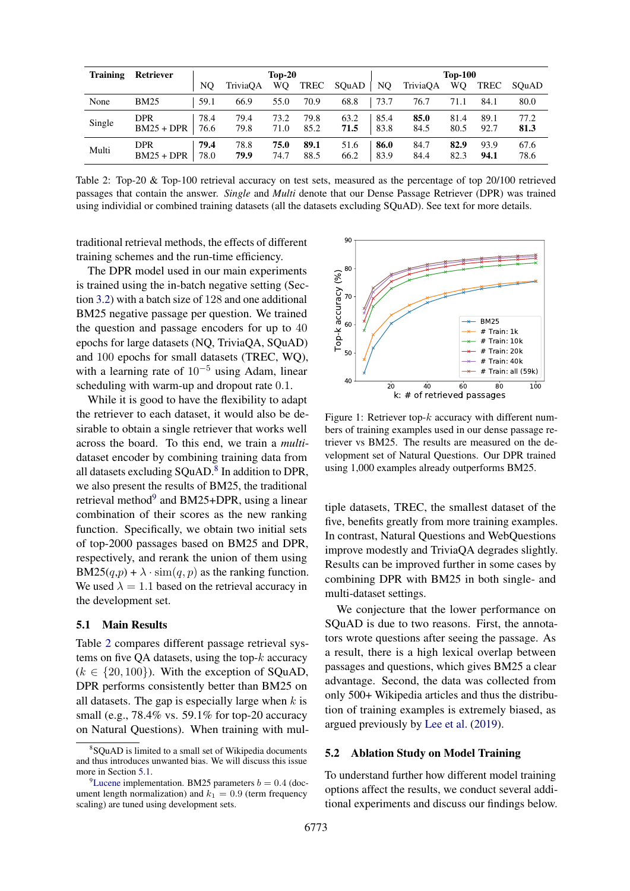<span id="page-4-3"></span>

| <b>Training</b> | <b>Retriever</b>           |              | $Top-20$     |                |              |              | <b>Top-100</b> |              |              |              |              |
|-----------------|----------------------------|--------------|--------------|----------------|--------------|--------------|----------------|--------------|--------------|--------------|--------------|
|                 |                            | NO.          | TriviaOA     | W <sub>O</sub> | TREC         | SOuAD        | NO             | TriviaOA     | <b>WO</b>    | TREC         | SOuAD        |
| None            | <b>BM25</b>                | 59.1         | 66.9         | 55.0           | 70.9         | 68.8         | 73.7           | 76.7         | 71.1         | 84.1         | 80.0         |
| Single          | <b>DPR</b><br>$BM25 + DPR$ | 78.4<br>76.6 | 79.4<br>79.8 | 73.2<br>71.0   | 79.8<br>85.2 | 63.2<br>71.5 | 85.4<br>83.8   | 85.0<br>84.5 | 81.4<br>80.5 | 89.1<br>92.7 | 77.2<br>81.3 |
| Multi           | <b>DPR</b><br>$BM25 + DPR$ | 79.4<br>78.0 | 78.8<br>79.9 | 75.0<br>74.7   | 89.1<br>88.5 | 51.6<br>66.2 | 86.0<br>83.9   | 84.7<br>84.4 | 82.9<br>82.3 | 93.9<br>94.1 | 67.6<br>78.6 |

Table 2: Top-20 & Top-100 retrieval accuracy on test sets, measured as the percentage of top 20/100 retrieved passages that contain the answer. *Single* and *Multi* denote that our Dense Passage Retriever (DPR) was trained using individial or combined training datasets (all the datasets excluding SQuAD). See text for more details.

traditional retrieval methods, the effects of different training schemes and the run-time efficiency.

The DPR model used in our main experiments is trained using the in-batch negative setting (Section [3.2\)](#page-2-1) with a batch size of 128 and one additional BM25 negative passage per question. We trained the question and passage encoders for up to 40 epochs for large datasets (NQ, TriviaQA, SQuAD) and 100 epochs for small datasets (TREC, WQ), with a learning rate of  $10^{-5}$  using Adam, linear scheduling with warm-up and dropout rate 0.1.

While it is good to have the flexibility to adapt the retriever to each dataset, it would also be desirable to obtain a single retriever that works well across the board. To this end, we train a *multi*dataset encoder by combining training data from all datasets excluding SQuAD.<sup>[8](#page-4-1)</sup> In addition to DPR, we also present the results of BM25, the traditional retrieval method<sup>[9](#page-4-2)</sup> and BM25+DPR, using a linear combination of their scores as the new ranking function. Specifically, we obtain two initial sets of top-2000 passages based on BM25 and DPR, respectively, and rerank the union of them using  $BM25(q,p) + \lambda \cdot \text{sim}(q,p)$  as the ranking function. We used  $\lambda = 1.1$  based on the retrieval accuracy in the development set.

### <span id="page-4-0"></span>5.1 Main Results

Table [2](#page-4-3) compares different passage retrieval systems on five QA datasets, using the top- $k$  accuracy  $(k \in \{20, 100\})$ . With the exception of SQuAD, DPR performs consistently better than BM25 on all datasets. The gap is especially large when  $k$  is small (e.g., 78.4% vs. 59.1% for top-20 accuracy on Natural Questions). When training with mul-

<span id="page-4-4"></span>

Figure 1: Retriever top- $k$  accuracy with different numbers of training examples used in our dense passage retriever vs BM25. The results are measured on the development set of Natural Questions. Our DPR trained using 1,000 examples already outperforms BM25.

tiple datasets, TREC, the smallest dataset of the five, benefits greatly from more training examples. In contrast, Natural Questions and WebQuestions improve modestly and TriviaQA degrades slightly. Results can be improved further in some cases by combining DPR with BM25 in both single- and multi-dataset settings.

We conjecture that the lower performance on SQuAD is due to two reasons. First, the annotators wrote questions after seeing the passage. As a result, there is a high lexical overlap between passages and questions, which gives BM25 a clear advantage. Second, the data was collected from only 500+ Wikipedia articles and thus the distribution of training examples is extremely biased, as argued previously by [Lee et al.](#page-9-3) [\(2019\)](#page-9-3).

#### 5.2 Ablation Study on Model Training

To understand further how different model training options affect the results, we conduct several additional experiments and discuss our findings below.

<span id="page-4-1"></span><sup>8</sup> SQuAD is limited to a small set of Wikipedia documents and thus introduces unwanted bias. We will discuss this issue more in Section [5.1.](#page-4-0)

<span id="page-4-2"></span><sup>&</sup>lt;sup>9</sup>[Lucene](https://lucene.apache.org/) implementation. BM25 parameters  $b = 0.4$  (document length normalization) and  $k_1 = 0.9$  (term frequency scaling) are tuned using development sets.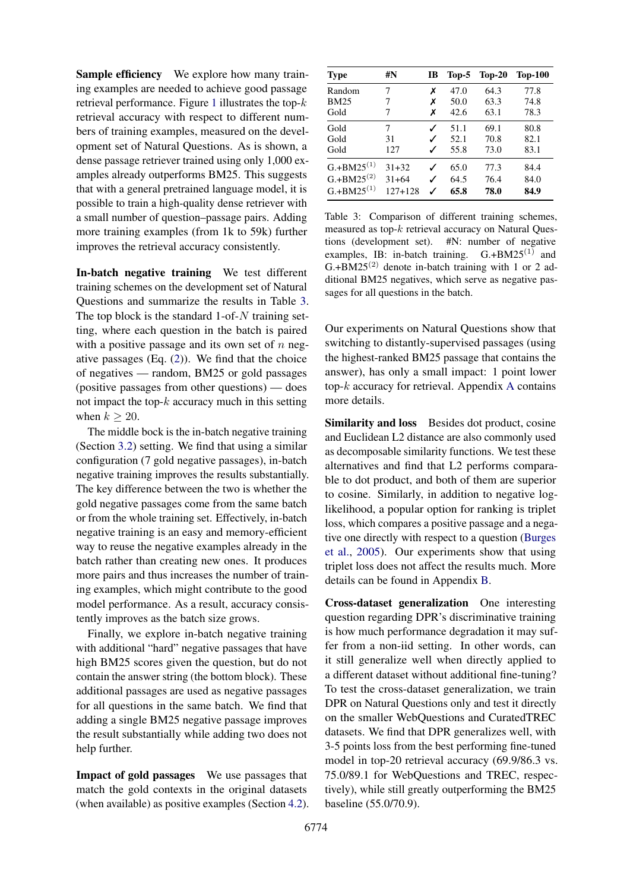Sample efficiency We explore how many training examples are needed to achieve good passage retrieval performance. Figure [1](#page-4-4) illustrates the top- $k$ retrieval accuracy with respect to different numbers of training examples, measured on the development set of Natural Questions. As is shown, a dense passage retriever trained using only 1,000 examples already outperforms BM25. This suggests that with a general pretrained language model, it is possible to train a high-quality dense retriever with a small number of question–passage pairs. Adding more training examples (from 1k to 59k) further improves the retrieval accuracy consistently.

<span id="page-5-1"></span>In-batch negative training We test different training schemes on the development set of Natural Questions and summarize the results in Table [3.](#page-5-3) The top block is the standard 1-of- $N$  training setting, where each question in the batch is paired with a positive passage and its own set of  $n$  negative passages  $(Eq. (2))$  $(Eq. (2))$  $(Eq. (2))$ . We find that the choice of negatives — random, BM25 or gold passages (positive passages from other questions) — does not impact the top- $k$  accuracy much in this setting when  $k > 20$ .

The middle bock is the in-batch negative training (Section [3.2\)](#page-2-1) setting. We find that using a similar configuration (7 gold negative passages), in-batch negative training improves the results substantially. The key difference between the two is whether the gold negative passages come from the same batch or from the whole training set. Effectively, in-batch negative training is an easy and memory-efficient way to reuse the negative examples already in the batch rather than creating new ones. It produces more pairs and thus increases the number of training examples, which might contribute to the good model performance. As a result, accuracy consistently improves as the batch size grows.

Finally, we explore in-batch negative training with additional "hard" negative passages that have high BM25 scores given the question, but do not contain the answer string (the bottom block). These additional passages are used as negative passages for all questions in the same batch. We find that adding a single BM25 negative passage improves the result substantially while adding two does not help further.

<span id="page-5-2"></span>Impact of gold passages We use passages that match the gold contexts in the original datasets (when available) as positive examples (Section [4.2\)](#page-3-5).

<span id="page-5-3"></span>

| <b>Type</b>     | #N          | IB | $Top-5$ | $Top-20$ | <b>Top-100</b> |
|-----------------|-------------|----|---------|----------|----------------|
| Random          | 7           | x  | 47.0    | 64.3     | 77.8           |
| <b>BM25</b>     | 7           | x  | 50.0    | 63.3     | 74.8           |
| Gold            | 7           | x  | 42.6    | 63.1     | 78.3           |
| Gold            | 7           |    | 51.1    | 69.1     | 80.8           |
| Gold            | 31          |    | 52.1    | 70.8     | 82.1           |
| Gold            | 127         |    | 55.8    | 73.0     | 83.1           |
| $G.+BM25^{(1)}$ | $31 + 32$   |    | 65.0    | 77.3     | 84.4           |
| $G.+BM25^{(2)}$ | $31 + 64$   |    | 64.5    | 76.4     | 84.0           |
| $G.+BM25^{(1)}$ | $127 + 128$ |    | 65.8    | 78.0     | 84.9           |

Table 3: Comparison of different training schemes, measured as top-k retrieval accuracy on Natural Questions (development set). #N: number of negative examples, IB: in-batch training.  $G.+BM25^{(1)}$  and G.+BM25<sup>(2)</sup> denote in-batch training with 1 or 2 additional BM25 negatives, which serve as negative passages for all questions in the batch.

Our experiments on Natural Questions show that switching to distantly-supervised passages (using the highest-ranked BM25 passage that contains the answer), has only a small impact: 1 point lower top- $k$  accuracy for retrieval. [A](#page-11-1)ppendix A contains more details.

<span id="page-5-0"></span>Similarity and loss Besides dot product, cosine and Euclidean L2 distance are also commonly used as decomposable similarity functions. We test these alternatives and find that L2 performs comparable to dot product, and both of them are superior to cosine. Similarly, in addition to negative loglikelihood, a popular option for ranking is triplet loss, which compares a positive passage and a negative one directly with respect to a question [\(Burges](#page-9-12) [et al.,](#page-9-12) [2005\)](#page-9-12). Our experiments show that using triplet loss does not affect the results much. More details can be found in Appendix [B.](#page-11-0)

Cross-dataset generalization One interesting question regarding DPR's discriminative training is how much performance degradation it may suffer from a non-iid setting. In other words, can it still generalize well when directly applied to a different dataset without additional fine-tuning? To test the cross-dataset generalization, we train DPR on Natural Questions only and test it directly on the smaller WebQuestions and CuratedTREC datasets. We find that DPR generalizes well, with 3-5 points loss from the best performing fine-tuned model in top-20 retrieval accuracy (69.9/86.3 vs. 75.0/89.1 for WebQuestions and TREC, respectively), while still greatly outperforming the BM25 baseline (55.0/70.9).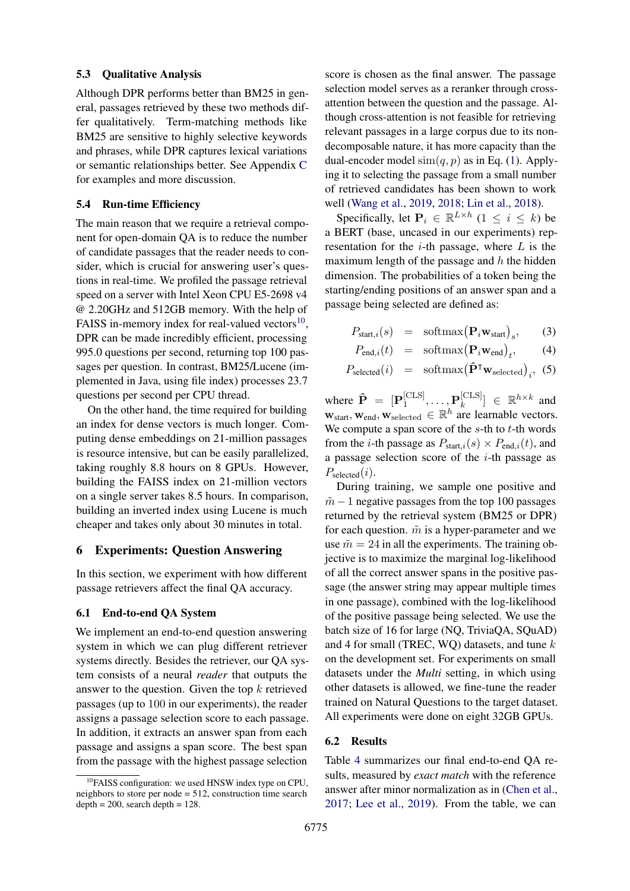#### 5.3 Qualitative Analysis

Although DPR performs better than BM25 in general, passages retrieved by these two methods differ qualitatively. Term-matching methods like BM25 are sensitive to highly selective keywords and phrases, while DPR captures lexical variations or semantic relationships better. See Appendix [C](#page-11-2) for examples and more discussion.

### 5.4 Run-time Efficiency

The main reason that we require a retrieval component for open-domain QA is to reduce the number of candidate passages that the reader needs to consider, which is crucial for answering user's questions in real-time. We profiled the passage retrieval speed on a server with Intel Xeon CPU E5-2698 v4 @ 2.20GHz and 512GB memory. With the help of FAISS in-memory index for real-valued vectors $^{10}$  $^{10}$  $^{10}$ , DPR can be made incredibly efficient, processing 995.0 questions per second, returning top 100 passages per question. In contrast, BM25/Lucene (implemented in Java, using file index) processes 23.7 questions per second per CPU thread.

On the other hand, the time required for building an index for dense vectors is much longer. Computing dense embeddings on 21-million passages is resource intensive, but can be easily parallelized, taking roughly 8.8 hours on 8 GPUs. However, building the FAISS index on 21-million vectors on a single server takes 8.5 hours. In comparison, building an inverted index using Lucene is much cheaper and takes only about 30 minutes in total.

#### 6 Experiments: Question Answering

In this section, we experiment with how different passage retrievers affect the final QA accuracy.

### 6.1 End-to-end QA System

We implement an end-to-end question answering system in which we can plug different retriever systems directly. Besides the retriever, our QA system consists of a neural *reader* that outputs the answer to the question. Given the top  $k$  retrieved passages (up to 100 in our experiments), the reader assigns a passage selection score to each passage. In addition, it extracts an answer span from each passage and assigns a span score. The best span from the passage with the highest passage selection

score is chosen as the final answer. The passage selection model serves as a reranker through crossattention between the question and the passage. Although cross-attention is not feasible for retrieving relevant passages in a large corpus due to its nondecomposable nature, it has more capacity than the dual-encoder model  $\text{sim}(q, p)$  as in Eq. [\(1\)](#page-2-0). Applying it to selecting the passage from a small number of retrieved candidates has been shown to work well [\(Wang et al.,](#page-10-5) [2019,](#page-10-5) [2018;](#page-10-12) [Lin et al.,](#page-10-13) [2018\)](#page-10-13).

Specifically, let  $P_i \in \mathbb{R}^{L \times h}$   $(1 \le i \le k)$  be a BERT (base, uncased in our experiments) representation for the  $i$ -th passage, where  $L$  is the maximum length of the passage and  $h$  the hidden dimension. The probabilities of a token being the starting/ending positions of an answer span and a passage being selected are defined as:

$$
P_{\text{start},i}(s) = \text{softmax}(\mathbf{P}_i \mathbf{w}_{\text{start}})_s, \qquad (3)
$$

$$
P_{\text{end},i}(t) = \text{softmax}(\mathbf{P}_i \mathbf{w}_{\text{end}})_t, \qquad (4)
$$

$$
P_{\text{selected}}(i) = \text{softmax}(\hat{\mathbf{P}}^{\mathsf{T}} \mathbf{w}_{\text{selected}})_{i}, \tag{5}
$$

where  $\hat{\mathbf{P}} = [\mathbf{P}_1^{\text{[CLS]}}]$  $\mathbf{P}_1^{[\text{CLS}]}, \dots, \mathbf{P}_k^{[\text{CLS}]}$  $\begin{bmatrix} [{\rm CLS}] \\ k \end{bmatrix} \in \mathbb{R}^{h \times k}$  and  $\mathbf{w}_{start}, \mathbf{w}_{end}, \mathbf{w}_{selected} \in \mathbb{R}^{h}$  are learnable vectors. We compute a span score of the  $s$ -th to  $t$ -th words from the *i*-th passage as  $P_{\text{start},i}(s) \times P_{\text{end},i}(t)$ , and a passage selection score of the  $i$ -th passage as  $P_{\text{selected}}(i)$ .

During training, we sample one positive and  $m-1$  negative passages from the top 100 passages returned by the retrieval system (BM25 or DPR) for each question.  $\tilde{m}$  is a hyper-parameter and we use  $\tilde{m} = 24$  in all the experiments. The training objective is to maximize the marginal log-likelihood of all the correct answer spans in the positive passage (the answer string may appear multiple times in one passage), combined with the log-likelihood of the positive passage being selected. We use the batch size of 16 for large (NQ, TriviaQA, SQuAD) and 4 for small (TREC, WQ) datasets, and tune  $k$ on the development set. For experiments on small datasets under the *Multi* setting, in which using other datasets is allowed, we fine-tune the reader trained on Natural Questions to the target dataset. All experiments were done on eight 32GB GPUs.

#### 6.2 Results

Table [4](#page-7-0) summarizes our final end-to-end QA results, measured by *exact match* with the reference answer after minor normalization as in [\(Chen et al.,](#page-9-1) [2017;](#page-9-1) [Lee et al.,](#page-9-3) [2019\)](#page-9-3). From the table, we can

<span id="page-6-0"></span> $10$ FAISS configuration: we used HNSW index type on CPU, neighbors to store per node  $= 512$ , construction time search  $depth = 200$ , search depth = 128.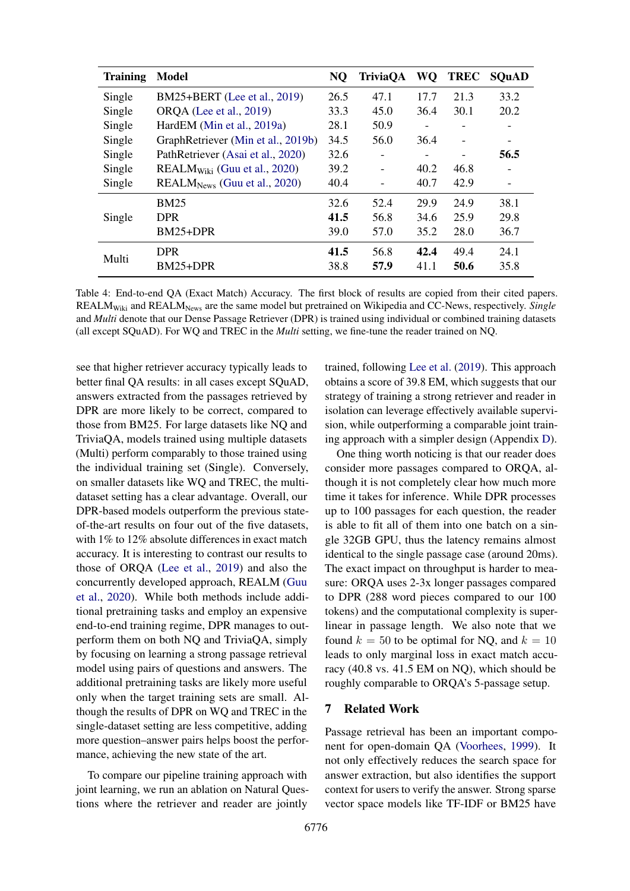<span id="page-7-0"></span>

| <b>Training</b> | <b>Model</b>                       | <b>NQ</b> | <b>TriviaOA</b> |                   | WQ TREC | <b>SOuAD</b> |
|-----------------|------------------------------------|-----------|-----------------|-------------------|---------|--------------|
| Single          | BM25+BERT (Lee et al., 2019)       | 26.5      | 47.1            | 17.7              | 21.3    | 33.2         |
| Single          | <b>ORQA</b> (Lee et al., 2019)     | 33.3      | 45.0            | 36.4              | 30.1    | 20.2         |
| Single          | HardEM (Min et al., 2019a)         | 28.1      | 50.9            | $\overline{a}$    |         |              |
| Single          | GraphRetriever (Min et al., 2019b) | 34.5      | 56.0            | 36.4              |         |              |
| Single          | PathRetriever (Asai et al., 2020)  | 32.6      |                 | $\qquad \qquad -$ |         | 56.5         |
| Single          | $REALMWiki$ (Guu et al., 2020)     | 39.2      | $\blacksquare$  | 40.2              | 46.8    |              |
| Single          | $REALMNews$ (Guu et al., 2020)     | 40.4      |                 | 40.7              | 42.9    |              |
|                 | <b>BM25</b>                        | 32.6      | 52.4            | 29.9              | 24.9    | 38.1         |
| Single          | <b>DPR</b>                         | 41.5      | 56.8            | 34.6              | 25.9    | 29.8         |
|                 | BM25+DPR                           | 39.0      | 57.0            | 35.2              | 28.0    | 36.7         |
| Multi           | <b>DPR</b>                         | 41.5      | 56.8            | 42.4              | 49.4    | 24.1         |
|                 | BM25+DPR                           | 38.8      | 57.9            | 41.1              | 50.6    | 35.8         |

Table 4: End-to-end QA (Exact Match) Accuracy. The first block of results are copied from their cited papers. REALMWiki and REALMNews are the same model but pretrained on Wikipedia and CC-News, respectively. *Single* and *Multi* denote that our Dense Passage Retriever (DPR) is trained using individual or combined training datasets (all except SQuAD). For WQ and TREC in the *Multi* setting, we fine-tune the reader trained on NQ.

see that higher retriever accuracy typically leads to better final QA results: in all cases except SQuAD, answers extracted from the passages retrieved by DPR are more likely to be correct, compared to those from BM25. For large datasets like NQ and TriviaQA, models trained using multiple datasets (Multi) perform comparably to those trained using the individual training set (Single). Conversely, on smaller datasets like WQ and TREC, the multidataset setting has a clear advantage. Overall, our DPR-based models outperform the previous stateof-the-art results on four out of the five datasets, with 1% to 12% absolute differences in exact match accuracy. It is interesting to contrast our results to those of ORQA [\(Lee et al.,](#page-9-3) [2019\)](#page-9-3) and also the concurrently developed approach, REALM [\(Guu](#page-9-13) [et al.,](#page-9-13) [2020\)](#page-9-13). While both methods include additional pretraining tasks and employ an expensive end-to-end training regime, DPR manages to outperform them on both NQ and TriviaQA, simply by focusing on learning a strong passage retrieval model using pairs of questions and answers. The additional pretraining tasks are likely more useful only when the target training sets are small. Although the results of DPR on WQ and TREC in the single-dataset setting are less competitive, adding more question–answer pairs helps boost the performance, achieving the new state of the art.

To compare our pipeline training approach with joint learning, we run an ablation on Natural Questions where the retriever and reader are jointly trained, following [Lee et al.](#page-9-3) [\(2019\)](#page-9-3). This approach obtains a score of 39.8 EM, which suggests that our strategy of training a strong retriever and reader in isolation can leverage effectively available supervision, while outperforming a comparable joint training approach with a simpler design (Appendix [D\)](#page-11-3).

One thing worth noticing is that our reader does consider more passages compared to ORQA, although it is not completely clear how much more time it takes for inference. While DPR processes up to 100 passages for each question, the reader is able to fit all of them into one batch on a single 32GB GPU, thus the latency remains almost identical to the single passage case (around 20ms). The exact impact on throughput is harder to measure: ORQA uses 2-3x longer passages compared to DPR (288 word pieces compared to our 100 tokens) and the computational complexity is superlinear in passage length. We also note that we found  $k = 50$  to be optimal for NQ, and  $k = 10$ leads to only marginal loss in exact match accuracy (40.8 vs. 41.5 EM on NQ), which should be roughly comparable to ORQA's 5-passage setup.

# 7 Related Work

Passage retrieval has been an important component for open-domain QA [\(Voorhees,](#page-10-0) [1999\)](#page-10-0). It not only effectively reduces the search space for answer extraction, but also identifies the support context for users to verify the answer. Strong sparse vector space models like TF-IDF or BM25 have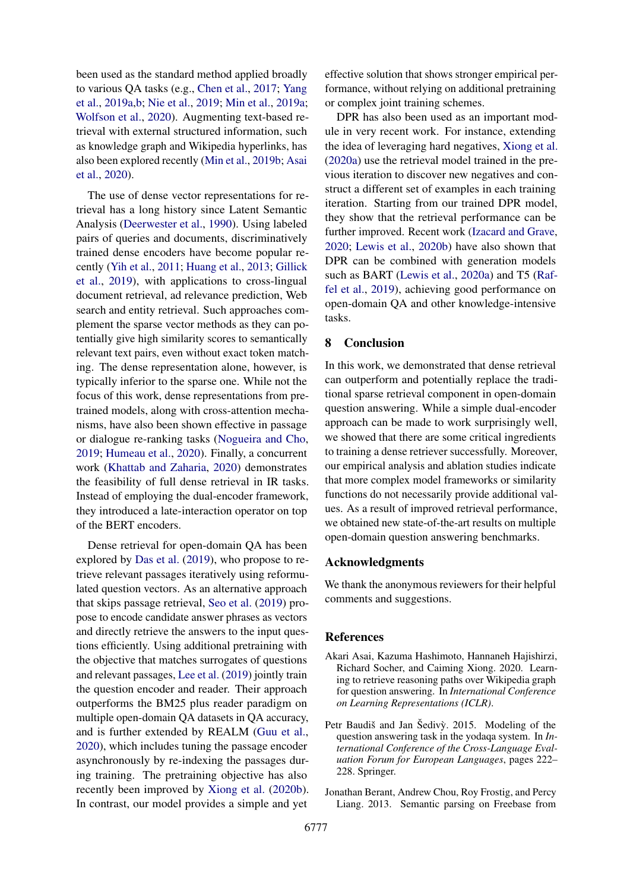been used as the standard method applied broadly to various QA tasks (e.g., [Chen et al.,](#page-9-1) [2017;](#page-9-1) [Yang](#page-10-2) [et al.,](#page-10-2) [2019a,](#page-10-2)[b;](#page-10-16) [Nie et al.,](#page-10-17) [2019;](#page-10-17) [Min et al.,](#page-10-14) [2019a;](#page-10-14) [Wolfson et al.,](#page-10-18) [2020\)](#page-10-18). Augmenting text-based retrieval with external structured information, such as knowledge graph and Wikipedia hyperlinks, has also been explored recently [\(Min et al.,](#page-10-15) [2019b;](#page-10-15) [Asai](#page-8-2) [et al.,](#page-8-2) [2020\)](#page-8-2).

The use of dense vector representations for retrieval has a long history since Latent Semantic Analysis [\(Deerwester et al.,](#page-9-14) [1990\)](#page-9-14). Using labeled pairs of queries and documents, discriminatively trained dense encoders have become popular recently [\(Yih et al.,](#page-10-10) [2011;](#page-10-10) [Huang et al.,](#page-9-15) [2013;](#page-9-15) [Gillick](#page-9-10) [et al.,](#page-9-10) [2019\)](#page-9-10), with applications to cross-lingual document retrieval, ad relevance prediction, Web search and entity retrieval. Such approaches complement the sparse vector methods as they can potentially give high similarity scores to semantically relevant text pairs, even without exact token matching. The dense representation alone, however, is typically inferior to the sparse one. While not the focus of this work, dense representations from pretrained models, along with cross-attention mechanisms, have also been shown effective in passage or dialogue re-ranking tasks [\(Nogueira and Cho,](#page-10-19) [2019;](#page-10-19) [Humeau et al.,](#page-9-16) [2020\)](#page-9-16). Finally, a concurrent work [\(Khattab and Zaharia,](#page-9-17) [2020\)](#page-9-17) demonstrates the feasibility of full dense retrieval in IR tasks. Instead of employing the dual-encoder framework, they introduced a late-interaction operator on top of the BERT encoders.

Dense retrieval for open-domain QA has been explored by [Das et al.](#page-9-18) [\(2019\)](#page-9-18), who propose to retrieve relevant passages iteratively using reformulated question vectors. As an alternative approach that skips passage retrieval, [Seo et al.](#page-10-6) [\(2019\)](#page-10-6) propose to encode candidate answer phrases as vectors and directly retrieve the answers to the input questions efficiently. Using additional pretraining with the objective that matches surrogates of questions and relevant passages, [Lee et al.](#page-9-3) [\(2019\)](#page-9-3) jointly train the question encoder and reader. Their approach outperforms the BM25 plus reader paradigm on multiple open-domain QA datasets in QA accuracy, and is further extended by REALM [\(Guu et al.,](#page-9-13) [2020\)](#page-9-13), which includes tuning the passage encoder asynchronously by re-indexing the passages during training. The pretraining objective has also recently been improved by [Xiong et al.](#page-10-20) [\(2020b\)](#page-10-20). In contrast, our model provides a simple and yet

effective solution that shows stronger empirical performance, without relying on additional pretraining or complex joint training schemes.

DPR has also been used as an important module in very recent work. For instance, extending the idea of leveraging hard negatives, [Xiong et al.](#page-10-21) [\(2020a\)](#page-10-21) use the retrieval model trained in the previous iteration to discover new negatives and construct a different set of examples in each training iteration. Starting from our trained DPR model, they show that the retrieval performance can be further improved. Recent work [\(Izacard and Grave,](#page-9-19) [2020;](#page-9-19) [Lewis et al.,](#page-9-20) [2020b\)](#page-9-20) have also shown that DPR can be combined with generation models such as BART [\(Lewis et al.,](#page-9-21) [2020a\)](#page-9-21) and T5 [\(Raf](#page-10-22)[fel et al.,](#page-10-22) [2019\)](#page-10-22), achieving good performance on open-domain QA and other knowledge-intensive tasks.

# 8 Conclusion

In this work, we demonstrated that dense retrieval can outperform and potentially replace the traditional sparse retrieval component in open-domain question answering. While a simple dual-encoder approach can be made to work surprisingly well, we showed that there are some critical ingredients to training a dense retriever successfully. Moreover, our empirical analysis and ablation studies indicate that more complex model frameworks or similarity functions do not necessarily provide additional values. As a result of improved retrieval performance, we obtained new state-of-the-art results on multiple open-domain question answering benchmarks.

### Acknowledgments

We thank the anonymous reviewers for their helpful comments and suggestions.

#### **References**

- <span id="page-8-2"></span>Akari Asai, Kazuma Hashimoto, Hannaneh Hajishirzi, Richard Socher, and Caiming Xiong. 2020. Learning to retrieve reasoning paths over Wikipedia graph for question answering. In *International Conference on Learning Representations (ICLR)*.
- <span id="page-8-1"></span>Petr Baudiš and Jan Šedivỳ. 2015. Modeling of the question answering task in the yodaqa system. In *International Conference of the Cross-Language Evaluation Forum for European Languages*, pages 222– 228. Springer.
- <span id="page-8-0"></span>Jonathan Berant, Andrew Chou, Roy Frostig, and Percy Liang. 2013. Semantic parsing on Freebase from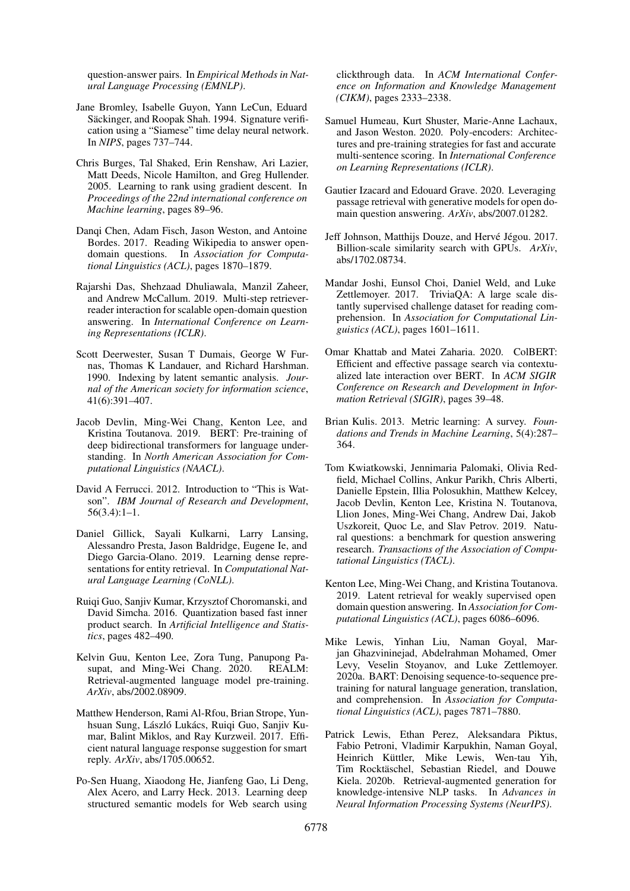question-answer pairs. In *Empirical Methods in Natural Language Processing (EMNLP)*.

- <span id="page-9-5"></span>Jane Bromley, Isabelle Guyon, Yann LeCun, Eduard Säckinger, and Roopak Shah. 1994. Signature verification using a "Siamese" time delay neural network. In *NIPS*, pages 737–744.
- <span id="page-9-12"></span>Chris Burges, Tal Shaked, Erin Renshaw, Ari Lazier, Matt Deeds, Nicole Hamilton, and Greg Hullender. 2005. Learning to rank using gradient descent. In *Proceedings of the 22nd international conference on Machine learning*, pages 89–96.
- <span id="page-9-1"></span>Danqi Chen, Adam Fisch, Jason Weston, and Antoine Bordes. 2017. Reading Wikipedia to answer opendomain questions. In *Association for Computational Linguistics (ACL)*, pages 1870–1879.
- <span id="page-9-18"></span>Rajarshi Das, Shehzaad Dhuliawala, Manzil Zaheer, and Andrew McCallum. 2019. Multi-step retrieverreader interaction for scalable open-domain question answering. In *International Conference on Learning Representations (ICLR)*.
- <span id="page-9-14"></span>Scott Deerwester, Susan T Dumais, George W Furnas, Thomas K Landauer, and Richard Harshman. 1990. Indexing by latent semantic analysis. *Journal of the American society for information science*, 41(6):391–407.
- <span id="page-9-4"></span>Jacob Devlin, Ming-Wei Chang, Kenton Lee, and Kristina Toutanova. 2019. BERT: Pre-training of deep bidirectional transformers for language understanding. In *North American Association for Computational Linguistics (NAACL)*.
- <span id="page-9-0"></span>David A Ferrucci. 2012. Introduction to "This is Watson". *IBM Journal of Research and Development*, 56(3.4):1–1.
- <span id="page-9-10"></span>Daniel Gillick, Sayali Kulkarni, Larry Lansing, Alessandro Presta, Jason Baldridge, Eugene Ie, and Diego Garcia-Olano. 2019. Learning dense representations for entity retrieval. In *Computational Natural Language Learning (CoNLL)*.
- <span id="page-9-2"></span>Ruiqi Guo, Sanjiv Kumar, Krzysztof Choromanski, and David Simcha. 2016. Quantization based fast inner product search. In *Artificial Intelligence and Statistics*, pages 482–490.
- <span id="page-9-13"></span>Kelvin Guu, Kenton Lee, Zora Tung, Panupong Pasupat, and Ming-Wei Chang. 2020. REALM: Retrieval-augmented language model pre-training. *ArXiv*, abs/2002.08909.
- <span id="page-9-9"></span>Matthew Henderson, Rami Al-Rfou, Brian Strope, Yunhsuan Sung, László Lukács, Ruiqi Guo, Sanjiv Kumar, Balint Miklos, and Ray Kurzweil. 2017. Efficient natural language response suggestion for smart reply. *ArXiv*, abs/1705.00652.
- <span id="page-9-15"></span>Po-Sen Huang, Xiaodong He, Jianfeng Gao, Li Deng, Alex Acero, and Larry Heck. 2013. Learning deep structured semantic models for Web search using

clickthrough data. In *ACM International Conference on Information and Knowledge Management (CIKM)*, pages 2333–2338.

- <span id="page-9-16"></span>Samuel Humeau, Kurt Shuster, Marie-Anne Lachaux, and Jason Weston. 2020. Poly-encoders: Architectures and pre-training strategies for fast and accurate multi-sentence scoring. In *International Conference on Learning Representations (ICLR)*.
- <span id="page-9-19"></span>Gautier Izacard and Edouard Grave. 2020. Leveraging passage retrieval with generative models for open domain question answering. *ArXiv*, abs/2007.01282.
- <span id="page-9-7"></span>Jeff Johnson, Matthijs Douze, and Hervé Jégou. 2017. Billion-scale similarity search with GPUs. *ArXiv*, abs/1702.08734.
- <span id="page-9-11"></span>Mandar Joshi, Eunsol Choi, Daniel Weld, and Luke Zettlemoyer. 2017. TriviaQA: A large scale distantly supervised challenge dataset for reading comprehension. In *Association for Computational Linguistics (ACL)*, pages 1601–1611.
- <span id="page-9-17"></span>Omar Khattab and Matei Zaharia. 2020. ColBERT: Efficient and effective passage search via contextualized late interaction over BERT. In *ACM SIGIR Conference on Research and Development in Information Retrieval (SIGIR)*, pages 39–48.
- <span id="page-9-8"></span>Brian Kulis. 2013. Metric learning: A survey. *Foundations and Trends in Machine Learning*, 5(4):287– 364.
- <span id="page-9-6"></span>Tom Kwiatkowski, Jennimaria Palomaki, Olivia Redfield, Michael Collins, Ankur Parikh, Chris Alberti, Danielle Epstein, Illia Polosukhin, Matthew Kelcey, Jacob Devlin, Kenton Lee, Kristina N. Toutanova, Llion Jones, Ming-Wei Chang, Andrew Dai, Jakob Uszkoreit, Quoc Le, and Slav Petrov. 2019. Natural questions: a benchmark for question answering research. *Transactions of the Association of Computational Linguistics (TACL)*.
- <span id="page-9-3"></span>Kenton Lee, Ming-Wei Chang, and Kristina Toutanova. 2019. Latent retrieval for weakly supervised open domain question answering. In *Association for Computational Linguistics (ACL)*, pages 6086–6096.
- <span id="page-9-21"></span>Mike Lewis, Yinhan Liu, Naman Goyal, Marjan Ghazvininejad, Abdelrahman Mohamed, Omer Levy, Veselin Stoyanov, and Luke Zettlemoyer. 2020a. BART: Denoising sequence-to-sequence pretraining for natural language generation, translation, and comprehension. In *Association for Computational Linguistics (ACL)*, pages 7871–7880.
- <span id="page-9-20"></span>Patrick Lewis, Ethan Perez, Aleksandara Piktus, Fabio Petroni, Vladimir Karpukhin, Naman Goyal, Heinrich Küttler, Mike Lewis, Wen-tau Yih, Tim Rocktäschel, Sebastian Riedel, and Douwe Kiela. 2020b. Retrieval-augmented generation for knowledge-intensive NLP tasks. In *Advances in Neural Information Processing Systems (NeurIPS)*.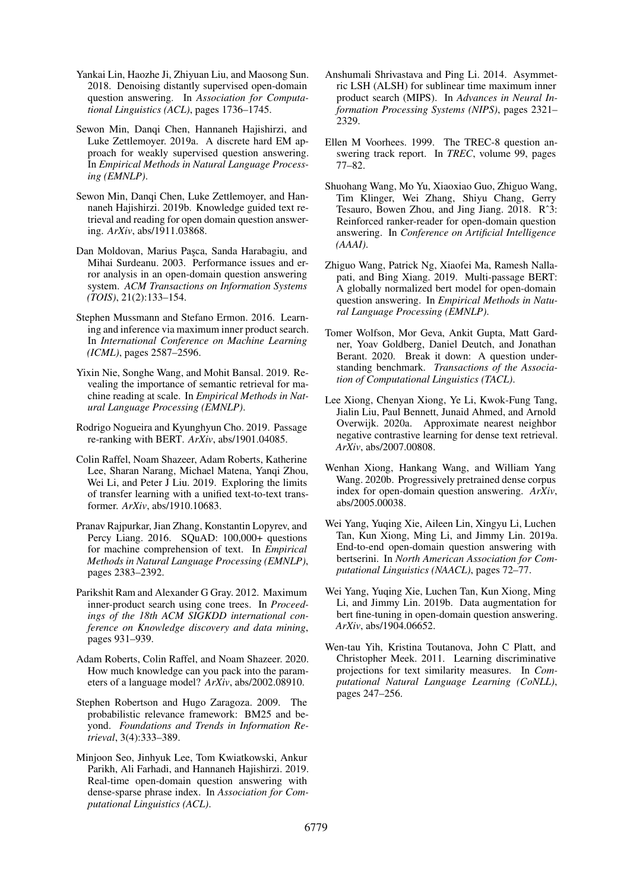- <span id="page-10-13"></span>Yankai Lin, Haozhe Ji, Zhiyuan Liu, and Maosong Sun. 2018. Denoising distantly supervised open-domain question answering. In *Association for Computational Linguistics (ACL)*, pages 1736–1745.
- <span id="page-10-14"></span>Sewon Min, Danqi Chen, Hannaneh Hajishirzi, and Luke Zettlemoyer. 2019a. A discrete hard EM approach for weakly supervised question answering. In *Empirical Methods in Natural Language Processing (EMNLP)*.
- <span id="page-10-15"></span>Sewon Min, Danqi Chen, Luke Zettlemoyer, and Hannaneh Hajishirzi. 2019b. Knowledge guided text retrieval and reading for open domain question answering. *ArXiv*, abs/1911.03868.
- <span id="page-10-1"></span>Dan Moldovan, Marius Pasca, Sanda Harabagiu, and Mihai Surdeanu. 2003. Performance issues and error analysis in an open-domain question answering system. *ACM Transactions on Information Systems (TOIS)*, 21(2):133–154.
- <span id="page-10-8"></span>Stephen Mussmann and Stefano Ermon. 2016. Learning and inference via maximum inner product search. In *International Conference on Machine Learning (ICML)*, pages 2587–2596.
- <span id="page-10-17"></span>Yixin Nie, Songhe Wang, and Mohit Bansal. 2019. Revealing the importance of semantic retrieval for machine reading at scale. In *Empirical Methods in Natural Language Processing (EMNLP)*.
- <span id="page-10-19"></span>Rodrigo Nogueira and Kyunghyun Cho. 2019. Passage re-ranking with BERT. *ArXiv*, abs/1901.04085.
- <span id="page-10-22"></span>Colin Raffel, Noam Shazeer, Adam Roberts, Katherine Lee, Sharan Narang, Michael Matena, Yanqi Zhou, Wei Li, and Peter J Liu. 2019. Exploring the limits of transfer learning with a unified text-to-text transformer. *ArXiv*, abs/1910.10683.
- <span id="page-10-11"></span>Pranav Rajpurkar, Jian Zhang, Konstantin Lopyrev, and Percy Liang. 2016. SQuAD: 100,000+ questions for machine comprehension of text. In *Empirical Methods in Natural Language Processing (EMNLP)*, pages 2383–2392.
- <span id="page-10-9"></span>Parikshit Ram and Alexander G Gray. 2012. Maximum inner-product search using cone trees. In *Proceedings of the 18th ACM SIGKDD international conference on Knowledge discovery and data mining*, pages 931–939.
- <span id="page-10-7"></span>Adam Roberts, Colin Raffel, and Noam Shazeer. 2020. How much knowledge can you pack into the parameters of a language model? *ArXiv*, abs/2002.08910.
- <span id="page-10-3"></span>Stephen Robertson and Hugo Zaragoza. 2009. The probabilistic relevance framework: BM25 and beyond. *Foundations and Trends in Information Retrieval*, 3(4):333–389.
- <span id="page-10-6"></span>Minjoon Seo, Jinhyuk Lee, Tom Kwiatkowski, Ankur Parikh, Ali Farhadi, and Hannaneh Hajishirzi. 2019. Real-time open-domain question answering with dense-sparse phrase index. In *Association for Computational Linguistics (ACL)*.
- <span id="page-10-4"></span>Anshumali Shrivastava and Ping Li. 2014. Asymmetric LSH (ALSH) for sublinear time maximum inner product search (MIPS). In *Advances in Neural Information Processing Systems (NIPS)*, pages 2321– 2329.
- <span id="page-10-0"></span>Ellen M Voorhees. 1999. The TREC-8 question answering track report. In *TREC*, volume 99, pages 77–82.
- <span id="page-10-12"></span>Shuohang Wang, Mo Yu, Xiaoxiao Guo, Zhiguo Wang, Tim Klinger, Wei Zhang, Shiyu Chang, Gerry Tesauro, Bowen Zhou, and Jing Jiang. 2018. Rˆ3: Reinforced ranker-reader for open-domain question answering. In *Conference on Artificial Intelligence (AAAI)*.
- <span id="page-10-5"></span>Zhiguo Wang, Patrick Ng, Xiaofei Ma, Ramesh Nallapati, and Bing Xiang. 2019. Multi-passage BERT: A globally normalized bert model for open-domain question answering. In *Empirical Methods in Natural Language Processing (EMNLP)*.
- <span id="page-10-18"></span>Tomer Wolfson, Mor Geva, Ankit Gupta, Matt Gardner, Yoav Goldberg, Daniel Deutch, and Jonathan Berant. 2020. Break it down: A question understanding benchmark. *Transactions of the Association of Computational Linguistics (TACL)*.
- <span id="page-10-21"></span>Lee Xiong, Chenyan Xiong, Ye Li, Kwok-Fung Tang, Jialin Liu, Paul Bennett, Junaid Ahmed, and Arnold Overwijk. 2020a. Approximate nearest neighbor negative contrastive learning for dense text retrieval. *ArXiv*, abs/2007.00808.
- <span id="page-10-20"></span>Wenhan Xiong, Hankang Wang, and William Yang Wang. 2020b. Progressively pretrained dense corpus index for open-domain question answering. *ArXiv*, abs/2005.00038.
- <span id="page-10-2"></span>Wei Yang, Yuqing Xie, Aileen Lin, Xingyu Li, Luchen Tan, Kun Xiong, Ming Li, and Jimmy Lin. 2019a. End-to-end open-domain question answering with bertserini. In *North American Association for Computational Linguistics (NAACL)*, pages 72–77.
- <span id="page-10-16"></span>Wei Yang, Yuqing Xie, Luchen Tan, Kun Xiong, Ming Li, and Jimmy Lin. 2019b. Data augmentation for bert fine-tuning in open-domain question answering. *ArXiv*, abs/1904.06652.
- <span id="page-10-10"></span>Wen-tau Yih, Kristina Toutanova, John C Platt, and Christopher Meek. 2011. Learning discriminative projections for text similarity measures. In *Computational Natural Language Learning (CoNLL)*, pages 247–256.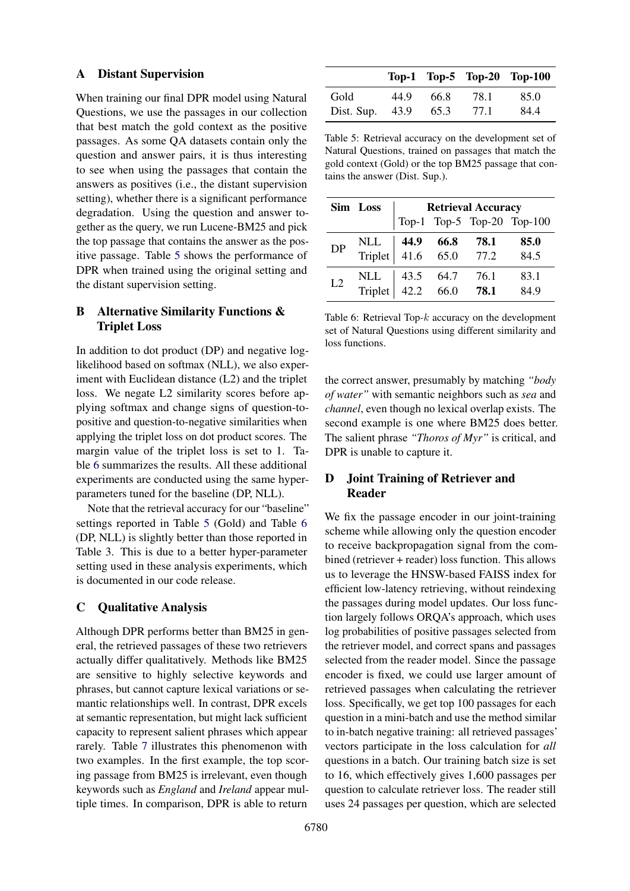### <span id="page-11-1"></span>A Distant Supervision

When training our final DPR model using Natural Questions, we use the passages in our collection that best match the gold context as the positive passages. As some QA datasets contain only the question and answer pairs, it is thus interesting to see when using the passages that contain the answers as positives (i.e., the distant supervision setting), whether there is a significant performance degradation. Using the question and answer together as the query, we run Lucene-BM25 and pick the top passage that contains the answer as the positive passage. Table [5](#page-11-4) shows the performance of DPR when trained using the original setting and the distant supervision setting.

# <span id="page-11-0"></span>B Alternative Similarity Functions & Triplet Loss

In addition to dot product (DP) and negative loglikelihood based on softmax (NLL), we also experiment with Euclidean distance (L2) and the triplet loss. We negate L2 similarity scores before applying softmax and change signs of question-topositive and question-to-negative similarities when applying the triplet loss on dot product scores. The margin value of the triplet loss is set to 1. Table [6](#page-11-5) summarizes the results. All these additional experiments are conducted using the same hyperparameters tuned for the baseline (DP, NLL).

Note that the retrieval accuracy for our "baseline" settings reported in Table [5](#page-11-4) (Gold) and Table [6](#page-11-5) (DP, NLL) is slightly better than those reported in Table 3. This is due to a better hyper-parameter setting used in these analysis experiments, which is documented in our code release.

### <span id="page-11-2"></span>C Qualitative Analysis

Although DPR performs better than BM25 in general, the retrieved passages of these two retrievers actually differ qualitatively. Methods like BM25 are sensitive to highly selective keywords and phrases, but cannot capture lexical variations or semantic relationships well. In contrast, DPR excels at semantic representation, but might lack sufficient capacity to represent salient phrases which appear rarely. Table [7](#page-12-0) illustrates this phenomenon with two examples. In the first example, the top scoring passage from BM25 is irrelevant, even though keywords such as *England* and *Ireland* appear multiple times. In comparison, DPR is able to return

<span id="page-11-4"></span>

|            |      |      |      | Top-1 Top-5 Top-20 Top-100 |
|------------|------|------|------|----------------------------|
| Gold       | 44.9 | 66.8 | 78.1 | 85.0                       |
| Dist. Sup. | 43.9 | 65.3 | 77.1 | 84.4                       |

Table 5: Retrieval accuracy on the development set of Natural Questions, trained on passages that match the gold context (Gold) or the top BM25 passage that contains the answer (Dist. Sup.).

<span id="page-11-5"></span>

|           | Sim Loss                                            | <b>Retrieval Accuracy</b> |  |  |                            |  |
|-----------|-----------------------------------------------------|---------------------------|--|--|----------------------------|--|
|           |                                                     |                           |  |  | Top-1 Top-5 Top-20 Top-100 |  |
| <b>DP</b> | NLL <b>44.9 66.8 78.1</b><br>Triplet 41.6 65.0 77.2 |                           |  |  | 85.0<br>84.5               |  |
| L2        | NLL 43.5 64.7 76.1<br>Triplet 42.2 66.0 <b>78.1</b> |                           |  |  | 83.1<br>849                |  |

Table 6: Retrieval Top- $k$  accuracy on the development set of Natural Questions using different similarity and loss functions.

the correct answer, presumably by matching *"body of water"* with semantic neighbors such as *sea* and *channel*, even though no lexical overlap exists. The second example is one where BM25 does better. The salient phrase *"Thoros of Myr"* is critical, and DPR is unable to capture it.

# <span id="page-11-3"></span>D Joint Training of Retriever and Reader

We fix the passage encoder in our joint-training scheme while allowing only the question encoder to receive backpropagation signal from the combined (retriever + reader) loss function. This allows us to leverage the HNSW-based FAISS index for efficient low-latency retrieving, without reindexing the passages during model updates. Our loss function largely follows ORQA's approach, which uses log probabilities of positive passages selected from the retriever model, and correct spans and passages selected from the reader model. Since the passage encoder is fixed, we could use larger amount of retrieved passages when calculating the retriever loss. Specifically, we get top 100 passages for each question in a mini-batch and use the method similar to in-batch negative training: all retrieved passages' vectors participate in the loss calculation for *all* questions in a batch. Our training batch size is set to 16, which effectively gives 1,600 passages per question to calculate retriever loss. The reader still uses 24 passages per question, which are selected